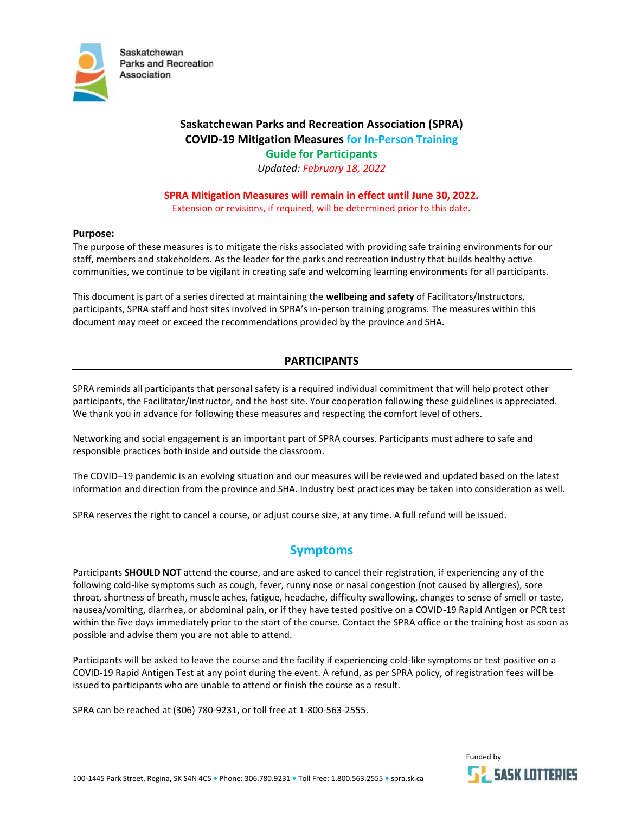

# **Saskatchewan Parks and Recreation Association (SPRA) COVID-19 Mitigation Measures for In-Person Training Guide for Participants** *Updated: February 18, 2022*

**SPRA Mitigation Measures will remain in effect until June 30, 2022.**  Extension or revisions, if required, will be determined prior to this date.

### **Purpose:**

The purpose of these measures is to mitigate the risks associated with providing safe training environments for our staff, members and stakeholders. As the leader for the parks and recreation industry that builds healthy active communities, we continue to be vigilant in creating safe and welcoming learning environments for all participants.

This document is part of a series directed at maintaining the **wellbeing and safety** of Facilitators/Instructors, participants, SPRA staff and host sites involved in SPRA's in-person training programs. The measures within this document may meet or exceed the recommendations provided by the province and SHA.

### **PARTICIPANTS**

SPRA reminds all participants that personal safety is a required individual commitment that will help protect other participants, the Facilitator/Instructor, and the host site. Your cooperation following these guidelines is appreciated. We thank you in advance for following these measures and respecting the comfort level of others.

Networking and social engagement is an important part of SPRA courses. Participants must adhere to safe and responsible practices both inside and outside the classroom.

The COVID–19 pandemic is an evolving situation and our measures will be reviewed and updated based on the latest information and direction from the province and SHA. Industry best practices may be taken into consideration as well.

SPRA reserves the right to cancel a course, or adjust course size, at any time. A full refund will be issued.

# **Symptoms**

Participants **SHOULD NOT** attend the course, and are asked to cancel their registration, if experiencing any of the following cold-like symptoms such as cough, fever, runny nose or nasal congestion (not caused by allergies), sore throat, shortness of breath, muscle aches, fatigue, headache, difficulty swallowing, changes to sense of smell or taste, nausea/vomiting, diarrhea, or abdominal pain, or if they have tested positive on a COVID-19 Rapid Antigen or PCR test within the five days immediately prior to the start of the course. Contact the SPRA office or the training host as soon as possible and advise them you are not able to attend.

Participants will be asked to leave the course and the facility if experiencing cold-like symptoms or test positive on a COVID-19 Rapid Antigen Test at any point during the event. A refund, as per SPRA policy, of registration fees will be issued to participants who are unable to attend or finish the course as a result.

SPRA can be reached at (306) 780-9231, or toll free at 1-800-563-2555.

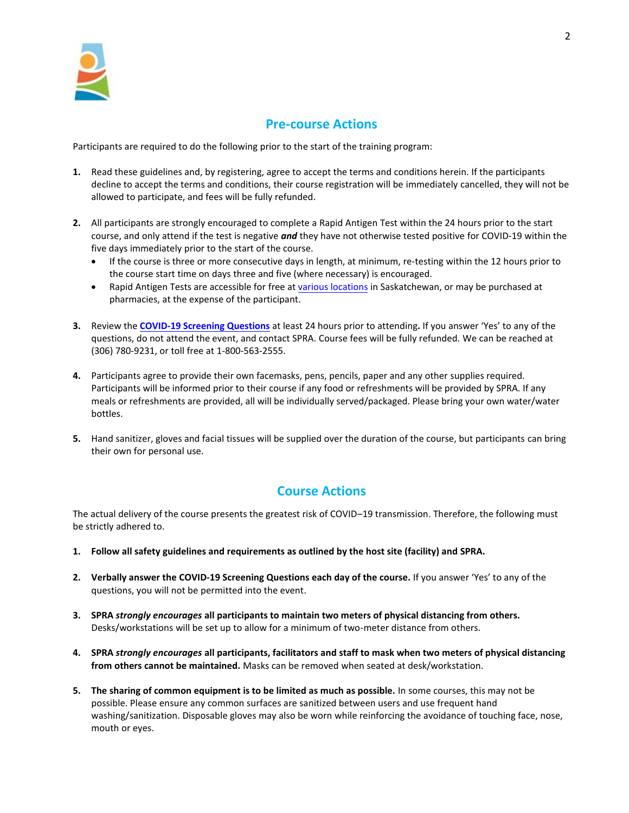

# **Pre-course Actions**

Participants are required to do the following prior to the start of the training program:

- **1.** Read these guidelines and, by registering, agree to accept the terms and conditions herein. If the participants decline to accept the terms and conditions, their course registration will be immediately cancelled, they will not be allowed to participate, and fees will be fully refunded.
- **2.** All participants are strongly encouraged to complete a Rapid Antigen Test within the 24 hours prior to the start course, and only attend if the test is negative *and* they have not otherwise tested positive for COVID-19 within the five days immediately prior to the start of the course.
	- If the course is three or more consecutive days in length, at minimum, re-testing within the 12 hours prior to the course start time on days three and five (where necessary) is encouraged.
	- Rapid Antigen Tests are accessible for free at [various locations](https://www.saskatchewan.ca/government/health-care-administration-and-provider-resources/treatment-procedures-and-guidelines/emerging-public-health-issues/2019-novel-coronavirus/testing-information/rapid-testing/locations-for-rapid-antigen-self-test-kits) in Saskatchewan, or may be purchased at pharmacies, at the expense of the participant.
- **3.** Review the **[COVID-19 Screening Questions](http://spra.blob.core.windows.net/docs/COVID-19%20In-Person%20Training%20Screening%20Form%20-%20For%20Web.pdf)** at least 24 hours prior to attending**.** If you answer 'Yes' to any of the questions, do not attend the event, and contact SPRA. Course fees will be fully refunded. We can be reached at (306) 780-9231, or toll free at 1-800-563-2555.
- **4.** Participants agree to provide their own facemasks, pens, pencils, paper and any other supplies required. Participants will be informed prior to their course if any food or refreshments will be provided by SPRA. If any meals or refreshments are provided, all will be individually served/packaged. Please bring your own water/water bottles.
- **5.** Hand sanitizer, gloves and facial tissues will be supplied over the duration of the course, but participants can bring their own for personal use.

# **Course Actions**

The actual delivery of the course presents the greatest risk of COVID–19 transmission. Therefore, the following must be strictly adhered to.

- **1. Follow all safety guidelines and requirements as outlined by the host site (facility) and SPRA.**
- **2. Verbally answer the COVID-19 Screening Questions each day of the course.** If you answer 'Yes' to any of the questions, you will not be permitted into the event.
- **3. SPRA** *strongly encourages* **all participants to maintain two meters of physical distancing from others.** Desks/workstations will be set up to allow for a minimum of two-meter distance from others.
- **4. SPRA** *strongly encourages* **all participants, facilitators and staff to mask when two meters of physical distancing from others cannot be maintained.** Masks can be removed when seated at desk/workstation.
- **5. The sharing of common equipment is to be limited as much as possible.** In some courses, this may not be possible. Please ensure any common surfaces are sanitized between users and use frequent hand washing/sanitization. Disposable gloves may also be worn while reinforcing the avoidance of touching face, nose, mouth or eyes.